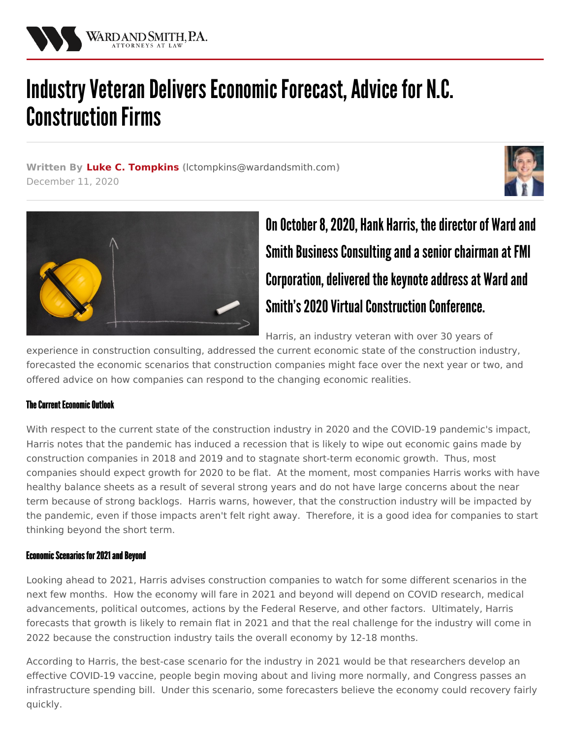

# Industry Veteran Delivers Economic Forecast, Advice for N.C. **Construction Firms**

**Written By Luke C. [Tompkins](/attorneys/luke-tompkins) (**[lctompkins@wardandsmith.com](mailto:lctompkins@wardandsmith.com)**)** December 11, 2020





# On October 8, 2020, Hank Harris, the director of Ward and Smith Business Consulting and a senior chairman at FMI Corporation, delivered the keynote address at Ward and Smith's 2020 Virtual Construction Conference.

Harris, an industry veteran with over 30 years of

experience in construction consulting, addressed the current economic state of the construction industry, forecasted the economic scenarios that construction companies might face over the next year or two, and offered advice on how companies can respond to the changing economic realities.

# **The Current Fronomic Outlook**

With respect to the current state of the construction industry in 2020 and the COVID-19 pandemic's impact, Harris notes that the pandemic has induced a recession that is likely to wipe out economic gains made by construction companies in 2018 and 2019 and to stagnate short-term economic growth. Thus, most companies should expect growth for 2020 to be flat. At the moment, most companies Harris works with have healthy balance sheets as a result of several strong years and do not have large concerns about the near term because of strong backlogs. Harris warns, however, that the construction industry will be impacted by the pandemic, even if those impacts aren't felt right away. Therefore, it is a good idea for companies to start thinking beyond the short term.

# **Economic Scenarios for 2021 and Beyond**

Looking ahead to 2021, Harris advises construction companies to watch for some different scenarios in the next few months. How the economy will fare in 2021 and beyond will depend on COVID research, medical advancements, political outcomes, actions by the Federal Reserve, and other factors. Ultimately, Harris forecasts that growth is likely to remain flat in 2021 and that the real challenge for the industry will come in 2022 because the construction industry tails the overall economy by 12-18 months.

According to Harris, the best-case scenario for the industry in 2021 would be that researchers develop an effective COVID-19 vaccine, people begin moving about and living more normally, and Congress passes an infrastructure spending bill. Under this scenario, some forecasters believe the economy could recovery fairly quickly.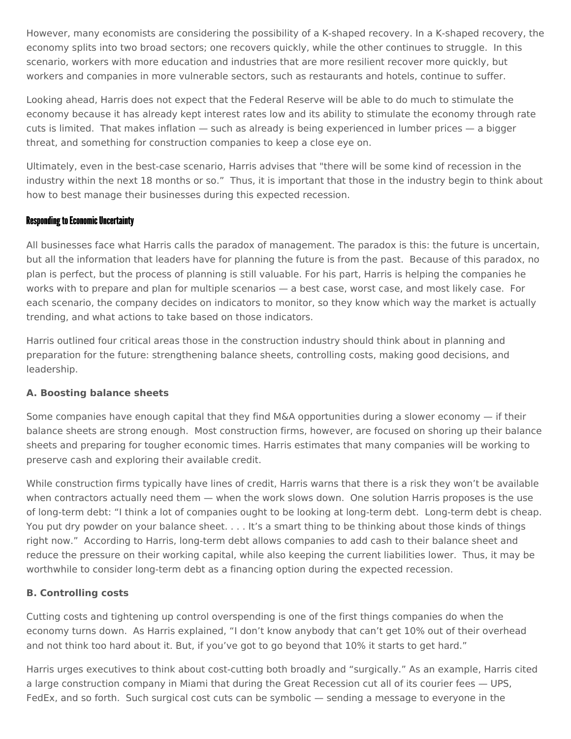However, many economists are considering the possibility of a K-shaped recovery. In a K-shaped recovery, the economy splits into two broad sectors; one recovers quickly, while the other continues to struggle. In this scenario, workers with more education and industries that are more resilient recover more quickly, but workers and companies in more vulnerable sectors, such as restaurants and hotels, continue to suffer.

Looking ahead, Harris does not expect that the Federal Reserve will be able to do much to stimulate the economy because it has already kept interest rates low and its ability to stimulate the economy through rate cuts is limited. That makes inflation — such as already is being experienced in lumber prices — a bigger threat, and something for construction companies to keep a close eye on.

Ultimately, even in the best-case scenario, Harris advises that "there will be some kind of recession in the industry within the next 18 months or so." Thus, it is important that those in the industry begin to think about how to best manage their businesses during this expected recession.

#### **Responding to Economic Uncertainty**

All businesses face what Harris calls the paradox of management. The paradox is this: the future is uncertain, but all the information that leaders have for planning the future is from the past. Because of this paradox, no plan is perfect, but the process of planning is still valuable. For his part, Harris is helping the companies he works with to prepare and plan for multiple scenarios — a best case, worst case, and most likely case. For each scenario, the company decides on indicators to monitor, so they know which way the market is actually trending, and what actions to take based on those indicators.

Harris outlined four critical areas those in the construction industry should think about in planning and preparation for the future: strengthening balance sheets, controlling costs, making good decisions, and leadership.

#### **A. Boosting balance sheets**

Some companies have enough capital that they find M&A opportunities during a slower economy — if their balance sheets are strong enough. Most construction firms, however, are focused on shoring up their balance sheets and preparing for tougher economic times. Harris estimates that many companies will be working to preserve cash and exploring their available credit.

While construction firms typically have lines of credit, Harris warns that there is a risk they won't be available when contractors actually need them — when the work slows down. One solution Harris proposes is the use of long-term debt: "I think a lot of companies ought to be looking at long-term debt. Long-term debt is cheap. You put dry powder on your balance sheet. . . . It's a smart thing to be thinking about those kinds of things right now." According to Harris, long-term debt allows companies to add cash to their balance sheet and reduce the pressure on their working capital, while also keeping the current liabilities lower. Thus, it may be worthwhile to consider long-term debt as a financing option during the expected recession.

# **B. Controlling costs**

Cutting costs and tightening up control overspending is one of the first things companies do when the economy turns down. As Harris explained, "I don't know anybody that can't get 10% out of their overhead and not think too hard about it. But, if you've got to go beyond that 10% it starts to get hard."

Harris urges executives to think about cost-cutting both broadly and "surgically." As an example, Harris cited a large construction company in Miami that during the Great Recession cut all of its courier fees — UPS, FedEx, and so forth. Such surgical cost cuts can be symbolic — sending a message to everyone in the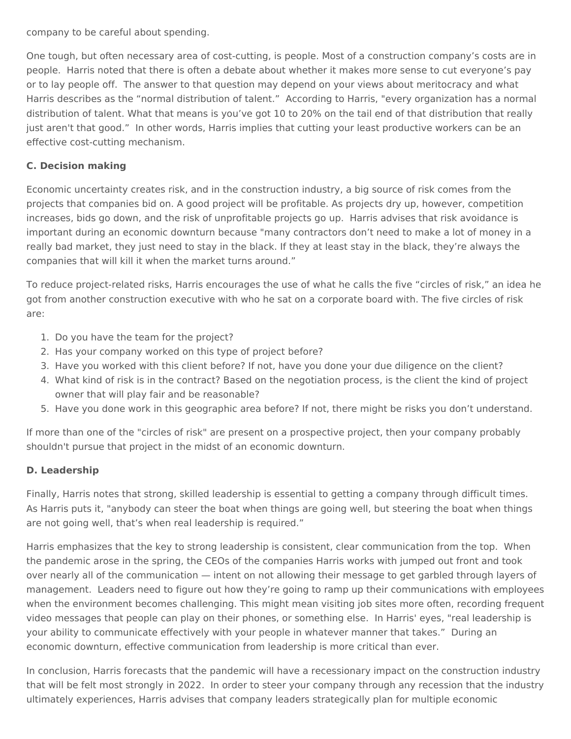company to be careful about spending.

One tough, but often necessary area of cost-cutting, is people. Most of a construction company's costs are in people. Harris noted that there is often a debate about whether it makes more sense to cut everyone's pay or to lay people off. The answer to that question may depend on your views about meritocracy and what Harris describes as the "normal distribution of talent." According to Harris, "every organization has a normal distribution of talent. What that means is you've got 10 to 20% on the tail end of that distribution that really just aren't that good." In other words, Harris implies that cutting your least productive workers can be an effective cost-cutting mechanism.

#### **C. Decision making**

Economic uncertainty creates risk, and in the construction industry, a big source of risk comes from the projects that companies bid on. A good project will be profitable. As projects dry up, however, competition increases, bids go down, and the risk of unprofitable projects go up. Harris advises that risk avoidance is important during an economic downturn because "many contractors don't need to make a lot of money in a really bad market, they just need to stay in the black. If they at least stay in the black, they're always the companies that will kill it when the market turns around."

To reduce project-related risks, Harris encourages the use of what he calls the five "circles of risk," an idea he got from another construction executive with who he sat on a corporate board with. The five circles of risk are:

- 1. Do you have the team for the project?
- 2. Has your company worked on this type of project before?
- 3. Have you worked with this client before? If not, have you done your due diligence on the client?
- 4. What kind of risk is in the contract? Based on the negotiation process, is the client the kind of project owner that will play fair and be reasonable?
- 5. Have you done work in this geographic area before? If not, there might be risks you don't understand.

If more than one of the "circles of risk" are present on a prospective project, then your company probably shouldn't pursue that project in the midst of an economic downturn.

# **D. Leadership**

Finally, Harris notes that strong, skilled leadership is essential to getting a company through difficult times. As Harris puts it, "anybody can steer the boat when things are going well, but steering the boat when things are not going well, that's when real leadership is required."

Harris emphasizes that the key to strong leadership is consistent, clear communication from the top. When the pandemic arose in the spring, the CEOs of the companies Harris works with jumped out front and took over nearly all of the communication — intent on not allowing their message to get garbled through layers of management. Leaders need to figure out how they're going to ramp up their communications with employees when the environment becomes challenging. This might mean visiting job sites more often, recording frequent video messages that people can play on their phones, or something else. In Harris' eyes, "real leadership is your ability to communicate effectively with your people in whatever manner that takes." During an economic downturn, effective communication from leadership is more critical than ever.

In conclusion, Harris forecasts that the pandemic will have a recessionary impact on the construction industry that will be felt most strongly in 2022. In order to steer your company through any recession that the industry ultimately experiences, Harris advises that company leaders strategically plan for multiple economic